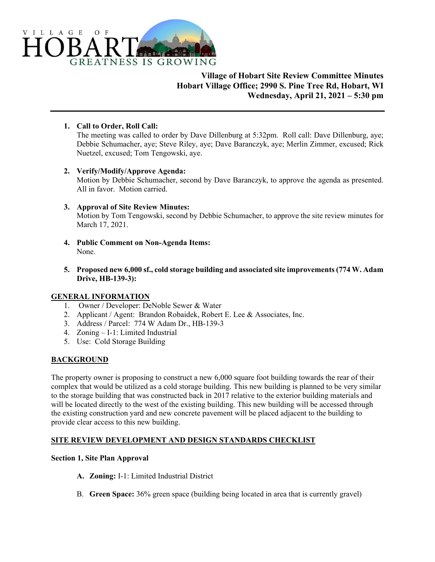

# **Village of Hobart Site Review Committee Minutes Hobart Village Office; 2990 S. Pine Tree Rd, Hobart, WI Wednesday, April 21, 2021 – 5:30 pm**

**1. Call to Order, Roll Call:** 

The meeting was called to order by Dave Dillenburg at 5:32pm. Roll call: Dave Dillenburg, aye; Debbie Schumacher, aye; Steve Riley, aye; Dave Baranczyk, aye; Merlin Zimmer, excused; Rick Nuetzel, excused; Tom Tengowski, aye.

**2. Verify/Modify/Approve Agenda:** 

Motion by Debbie Schumacher, second by Dave Baranczyk, to approve the agenda as presented. All in favor. Motion carried.

- **3. Approval of Site Review Minutes:**  Motion by Tom Tengowski, second by Debbie Schumacher, to approve the site review minutes for March 17, 2021.
- **4. Public Comment on Non-Agenda Items:**  None.
- **5. Proposed new 6,000 sf., cold storage building and associated site improvements (774 W. Adam Drive, HB-139-3):**

## **GENERAL INFORMATION**

- 1. Owner / Developer: DeNoble Sewer & Water
- 2. Applicant / Agent: Brandon Robaidek, Robert E. Lee & Associates, Inc.
- 3. Address / Parcel: 774 W Adam Dr., HB-139-3
- 4. Zoning I-1: Limited Industrial
- 5. Use: Cold Storage Building

## **BACKGROUND**

The property owner is proposing to construct a new 6,000 square foot building towards the rear of their complex that would be utilized as a cold storage building. This new building is planned to be very similar to the storage building that was constructed back in 2017 relative to the exterior building materials and will be located directly to the west of the existing building. This new building will be accessed through the existing construction yard and new concrete pavement will be placed adjacent to the building to provide clear access to this new building.

## **SITE REVIEW DEVELOPMENT AND DESIGN STANDARDS CHECKLIST**

#### **Section 1, Site Plan Approval**

- **A. Zoning:** I-1: Limited Industrial District
- B. **Green Space:** 36% green space (building being located in area that is currently gravel)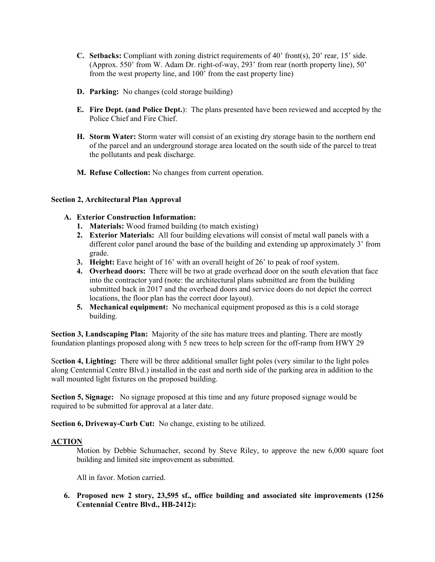- **C. Setbacks:** Compliant with zoning district requirements of 40' front(s), 20' rear, 15' side. (Approx. 550' from W. Adam Dr. right-of-way, 293' from rear (north property line), 50' from the west property line, and 100' from the east property line)
- **D. Parking:** No changes (cold storage building)
- **E. Fire Dept. (and Police Dept.**): The plans presented have been reviewed and accepted by the Police Chief and Fire Chief.
- **H. Storm Water:** Storm water will consist of an existing dry storage basin to the northern end of the parcel and an underground storage area located on the south side of the parcel to treat the pollutants and peak discharge.
- **M. Refuse Collection:** No changes from current operation.

### **Section 2, Architectural Plan Approval**

### **A. Exterior Construction Information:**

- **1. Materials:** Wood framed building (to match existing)
- **2. Exterior Materials:** All four building elevations will consist of metal wall panels with a different color panel around the base of the building and extending up approximately 3' from grade.
- **3. Height:** Eave height of 16' with an overall height of 26' to peak of roof system.
- **4. Overhead doors:** There will be two at grade overhead door on the south elevation that face into the contractor yard (note: the architectural plans submitted are from the building submitted back in 2017 and the overhead doors and service doors do not depict the correct locations, the floor plan has the correct door layout).
- **5. Mechanical equipment:** No mechanical equipment proposed as this is a cold storage building.

**Section 3, Landscaping Plan:** Majority of the site has mature trees and planting. There are mostly foundation plantings proposed along with 5 new trees to help screen for the off-ramp from HWY 29

Se**ction 4, Lighting:** There will be three additional smaller light poles (very similar to the light poles along Centennial Centre Blvd.) installed in the east and north side of the parking area in addition to the wall mounted light fixtures on the proposed building.

**Section 5, Signage:** No signage proposed at this time and any future proposed signage would be required to be submitted for approval at a later date.

**Section 6, Driveway-Curb Cut:** No change, existing to be utilized.

#### **ACTION**

Motion by Debbie Schumacher, second by Steve Riley, to approve the new 6,000 square foot building and limited site improvement as submitted.

All in favor. Motion carried.

**6. Proposed new 2 story, 23,595 sf., office building and associated site improvements (1256 Centennial Centre Blvd., HB-2412):**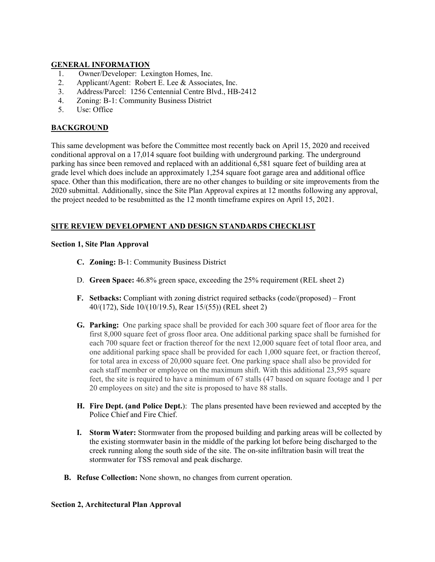#### **GENERAL INFORMATION**

- 1. Owner/Developer: Lexington Homes, Inc.
- 2. Applicant/Agent: Robert E. Lee & Associates, Inc.
- 3. Address/Parcel: 1256 Centennial Centre Blvd., HB-2412
- 4. Zoning: B-1: Community Business District
- 5. Use: Office

#### **BACKGROUND**

This same development was before the Committee most recently back on April 15, 2020 and received conditional approval on a 17,014 square foot building with underground parking. The underground parking has since been removed and replaced with an additional 6,581 square feet of building area at grade level which does include an approximately 1,254 square foot garage area and additional office space. Other than this modification, there are no other changes to building or site improvements from the 2020 submittal. Additionally, since the Site Plan Approval expires at 12 months following any approval, the project needed to be resubmitted as the 12 month timeframe expires on April 15, 2021.

## **SITE REVIEW DEVELOPMENT AND DESIGN STANDARDS CHECKLIST**

#### **Section 1, Site Plan Approval**

- **C. Zoning:** B-1: Community Business District
- D. **Green Space:** 46.8% green space, exceeding the 25% requirement (REL sheet 2)
- **F. Setbacks:** Compliant with zoning district required setbacks (code/(proposed) Front 40/(172), Side 10/(10/19.5), Rear 15/(55)) (REL sheet 2)
- **G. Parking:** One parking space shall be provided for each 300 square feet of floor area for the first 8,000 square feet of gross floor area. One additional parking space shall be furnished for each 700 square feet or fraction thereof for the next 12,000 square feet of total floor area, and one additional parking space shall be provided for each 1,000 square feet, or fraction thereof, for total area in excess of 20,000 square feet. One parking space shall also be provided for each staff member or employee on the maximum shift. With this additional 23,595 square feet, the site is required to have a minimum of 67 stalls (47 based on square footage and 1 per 20 employees on site) and the site is proposed to have 88 stalls.
- **H. Fire Dept. (and Police Dept.**): The plans presented have been reviewed and accepted by the Police Chief and Fire Chief.
- **I. Storm Water:** Stormwater from the proposed building and parking areas will be collected by the existing stormwater basin in the middle of the parking lot before being discharged to the creek running along the south side of the site. The on-site infiltration basin will treat the stormwater for TSS removal and peak discharge.
- **B. Refuse Collection:** None shown, no changes from current operation.

#### **Section 2, Architectural Plan Approval**